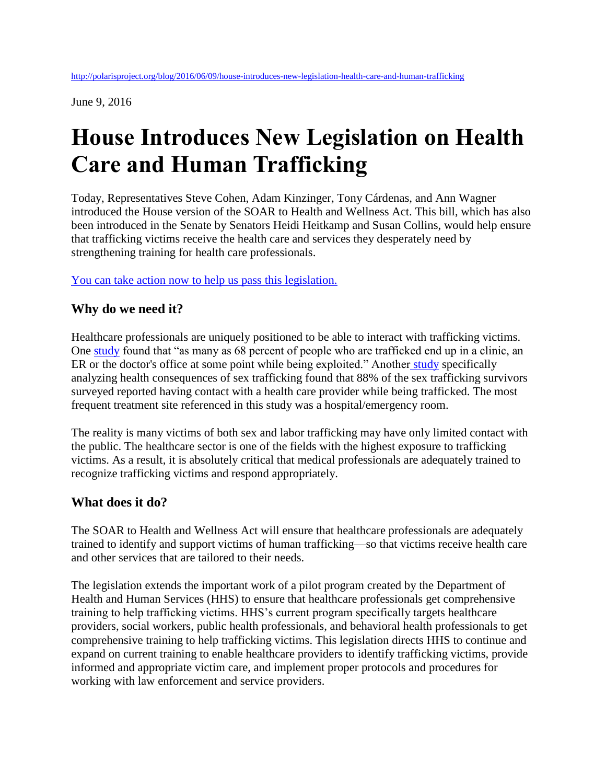June 9, 2016

## **House Introduces New Legislation on Health Care and Human Trafficking**

Today, Representatives Steve Cohen, Adam Kinzinger, Tony Cárdenas, and Ann Wagner introduced the House version of the SOAR to Health and Wellness Act. This bill, which has also been introduced in the Senate by Senators Heidi Heitkamp and Susan Collins, would help ensure that trafficking victims receive the health care and services they desperately need by strengthening training for health care professionals.

[You can take action now to help us pass this legislation.](http://act.polarisproject.org/p/dia/action3/common/public/?action_KEY=23126)

## **Why do we need it?**

Healthcare professionals are uniquely positioned to be able to interact with trafficking victims. One [study](http://www.marketplace.org/2016/03/04/health-care/identifying-trafficking-victims-just-start-health-cares-challenge) found that "as many as 68 percent of people who are trafficked end up in a clinic, an ER or the doctor's office at some point while being exploited." Another [study](http://www.annalsofhealthlaw.com/annalsofhealthlaw/vol_23_issue_1?pg=85#pg85) specifically analyzing health consequences of sex trafficking found that 88% of the sex trafficking survivors surveyed reported having contact with a health care provider while being trafficked. The most frequent treatment site referenced in this study was a hospital/emergency room.

The reality is many victims of both sex and labor trafficking may have only limited contact with the public. The healthcare sector is one of the fields with the highest exposure to trafficking victims. As a result, it is absolutely critical that medical professionals are adequately trained to recognize trafficking victims and respond appropriately.

## **What does it do?**

The SOAR to Health and Wellness Act will ensure that healthcare professionals are adequately trained to identify and support victims of human trafficking—so that victims receive health care and other services that are tailored to their needs.

The legislation extends the important work of a pilot program created by the Department of Health and Human Services (HHS) to ensure that healthcare professionals get comprehensive training to help trafficking victims. HHS's current program specifically targets healthcare providers, social workers, public health professionals, and behavioral health professionals to get comprehensive training to help trafficking victims. This legislation directs HHS to continue and expand on current training to enable healthcare providers to identify trafficking victims, provide informed and appropriate victim care, and implement proper protocols and procedures for working with law enforcement and service providers.